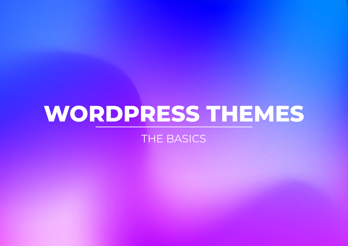## **WORDPRESS THEMES**

THE BASICS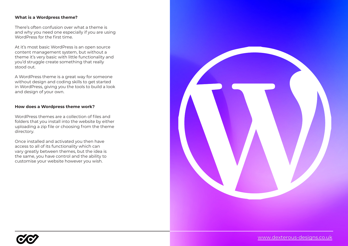## **What is a Wordpress theme?**

There's often confusion over what a theme is and why you need one especially if you are using WordPress for the first time.

At it's most basic WordPress is an open source content management system, but without a theme it's very basic with little functionality and you'd struggle create something that really stood out.

A WordPress theme is a great way for someone without design and coding skills to get started in WordPress, giving you the tools to build a look and design of your own.

## **How does a Wordpress theme work?**

WordPress themes are a collection of files and folders that you install into the website by either uploading a zip file or choosing from the theme directory.

Once installed and activated you then have access to all of its functionality which can vary greatly between themes, but the idea is the same, you have control and the ability to customise your website however you wish.



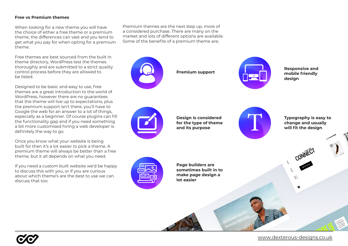## **Free vs Premium themes**

When looking for a new theme you will have the choice of either a free theme or a premium theme, the differences can vast and you tend to get what you pay for when opting for a premium theme.

Free themes are best sourced from the built in theme directory, WordPress test the themes thoroughly and are submitted to a strict quality control process before they are allowed to be listed.

Designed to be basic and easy to use, free themes are a great introduction to the world of WordPress, however there are no guarantees that the theme will live up to expectations, plus the premium support isn't there, you'll have to Google the web for an answer to a lot of things, especially as a beginner. Of course plugins can fill the functionality gap and if you need something a bit more customised hiring a web developer is definitely the way to go.

Once you know what your website is being built for then it's a lot easier to pick a theme. A premium theme will always be better than a free theme, but it all depends on what you need.

If you need a custom built website we'd be happy to discuss this with you, or if you are curious about which theme's are the best to use we can discuss that too.

Premium themes are the next step up, more of a considered purchase. There are many on the market and lots of different options are available. Some of the benefits of a premium theme are;



[www.dexterous-designs.co.uk](https://dexterous-designs.co.uk/)